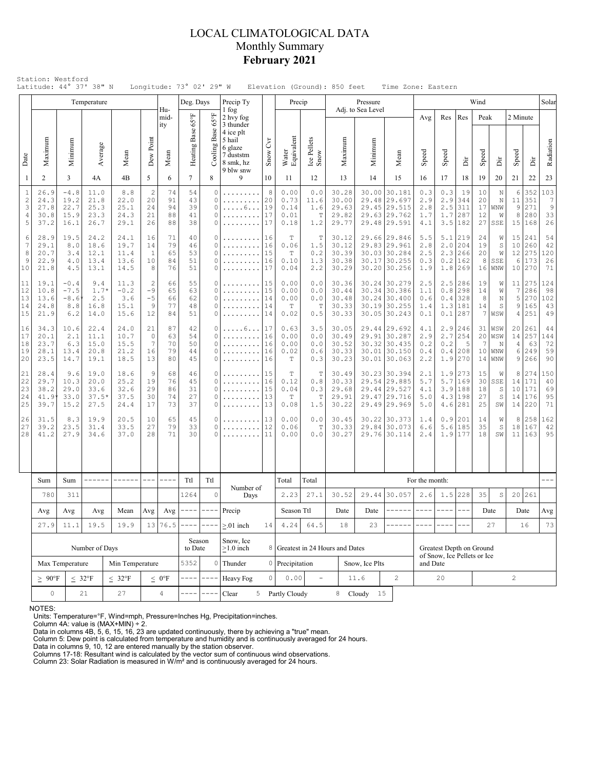## LOCAL CLIMATOLOGICAL DATA Monthly Summary **February 2021**

|                                      | Latitude: 44° 37' 38" N                                                |                                          | Temperature                             |                                       |                                        |                            | Longitude: 73° 02' 29" W<br>Deg. Days |                                                 | Precip Ty                                                             |                            | Precip                               | Elevation (Ground): 850 feet    |                                           | Pressure          |                                                                              |                                                         | Time Zone: Eastern              |                   |                                                                 | Wind                       |                                      |                               |                                    | Solar                                        |
|--------------------------------------|------------------------------------------------------------------------|------------------------------------------|-----------------------------------------|---------------------------------------|----------------------------------------|----------------------------|---------------------------------------|-------------------------------------------------|-----------------------------------------------------------------------|----------------------------|--------------------------------------|---------------------------------|-------------------------------------------|-------------------|------------------------------------------------------------------------------|---------------------------------------------------------|---------------------------------|-------------------|-----------------------------------------------------------------|----------------------------|--------------------------------------|-------------------------------|------------------------------------|----------------------------------------------|
|                                      |                                                                        |                                          |                                         |                                       |                                        | Hu-<br>mid-<br>ity         |                                       | $65^{\circ}$ F                                  | 1 fog<br>2 hvy fog<br>3 thunder                                       |                            |                                      |                                 |                                           | Adj. to Sea Level |                                                                              |                                                         | Avg                             | Res               | Res                                                             | Peak                       |                                      | 2 Minute                      |                                    |                                              |
| Date                                 | Maximum                                                                | Minimum                                  | Average                                 | Mean                                  | Dew Point                              | Mean                       | Heating Base 65°F                     | Base<br>Cooling                                 | 4 ice plt<br>5 hail<br>6 glaze<br>7 duststm<br>8 smk, hz<br>9 blw snw | $\overline{C}$<br>Snow     | Water<br>Equivalent                  | Ice Pellets<br>Snow             | Maximum                                   | Minimum           |                                                                              | Mean                                                    | Speed                           | Speed             | Èř                                                              | Speed                      | Ä                                    | Speed                         | ă                                  | Radiation                                    |
| 1                                    | $\overline{2}$                                                         | 3                                        | 4A                                      | 4B                                    | 5                                      | 6                          | $\overline{7}$                        | 8                                               | 9                                                                     | 10                         | 11                                   | 12                              | 13                                        | 14                |                                                                              | 15                                                      | 16                              | 17                | 18                                                              | 19                         | 20                                   | 21                            | 22                                 | 23                                           |
| $\,1\,$<br>$\sqrt{2}$<br>3<br>4<br>5 | 26.9<br>24.3<br>27.8<br>30.8<br>37.2                                   | $-4.8$<br>19.2<br>22.7<br>15.9<br>16.1   | 11.0<br>21.8<br>25.3<br>23.3<br>26.7    | 8.8<br>22.0<br>25.1<br>24.3<br>29.1   | $\overline{c}$<br>20<br>24<br>21<br>26 | 74<br>91<br>94<br>88<br>88 | 54<br>43<br>39<br>41<br>38            | $\circ$<br>$\Omega$<br>$\circ$<br>$\Omega$<br>0 | .<br>.<br>$\ldots 6 \ldots$                                           | 8<br>20<br>19<br>17<br>17  | 0.00<br>0.73<br>0.14<br>0.01<br>0.18 | 0.0<br>11.6<br>1.6<br>T<br>1.2  | 30.28<br>30.00<br>29.63<br>29.82<br>29.77 | 30.00<br>29.48    | 29.697<br>29.45 29.515<br>29.63 29.762<br>29.48 29.591                       | 30.181                                                  | 0.3<br>2.9<br>2.8<br>1.7<br>4.1 | 0.3<br>2.9<br>1.7 | 19<br>344<br>$2.5$ 311<br>287<br>3.5 182                        | 10<br>20<br>17<br>12<br>27 | N<br>$\mathbb N$<br>WNW<br>W<br>SSE  | 6<br>11<br>9<br>8<br>15       | 352<br>351<br>271<br>280<br>168    | 103<br>$\boldsymbol{7}$<br>$\,9$<br>33<br>26 |
| 6<br>7<br>8<br>9<br>10               | 28.9<br>29.1<br>20.7<br>22.9<br>21.8                                   | 19.5<br>8.0<br>3.4<br>4.0<br>4.5         | 24.2<br>18.6<br>12.1<br>13.4<br>13.1    | 24.1<br>19.7<br>11.4<br>13.6<br>14.5  | 16<br>14<br>1<br>10<br>8               | 71<br>79<br>65<br>84<br>76 | 40<br>46<br>53<br>51<br>51            | 0<br>$\Omega$<br>$\Omega$<br>0<br>$\Omega$      | .<br>.                                                                | 16<br>16<br>15<br>16<br>17 | T<br>0.06<br>T<br>0.10<br>0.04       | Т<br>1.5<br>0.2<br>1.3<br>2.2   | 30.12<br>30.12<br>30.39<br>30.38<br>30.29 |                   | 29.66 29.846<br>29.83 29.961<br>30.03 30.284<br>30.17 30.255<br>30.20 30.256 |                                                         | 5.5<br>2.8<br>2.5<br>0.3<br>1.9 |                   | $5.1$   219<br>$2.0$ 204<br>$2.3$ 266<br>$0.2$   162<br>1.8 269 | 24<br>19<br>20<br>8<br>16  | W<br>S<br>W<br>SSE<br>WNW            | 15<br>10<br>12<br>6<br>10     | 241<br>260<br>275<br>173<br>270    | 54<br>42<br>120<br>26<br>71                  |
| 11<br>12<br>13<br>14<br>15           | 19.1<br>10.8<br>13.6<br>24.8<br>21.9                                   | $-0.4$<br>$-7.5$<br>$-8.6$<br>8.8<br>6.2 | 9.4<br>$1.7*$<br>2.5<br>16.8<br>14.0    | 11.3<br>$-0.2$<br>3.6<br>15.1<br>15.6 | 2<br>$-9$<br>$-5$<br>9<br>12           | 66<br>65<br>66<br>77<br>84 | 55<br>63<br>62<br>48<br>51            | 0<br>$\Omega$<br>$\circ$<br>0<br>0              | .<br>.<br>.                                                           | 15<br>15<br>14<br>14<br>14 |                                      | 0.0<br>0.0<br>0.0<br>T<br>0.5   | 30.36<br>30.44<br>30.48<br>30.33<br>30.33 |                   | 30.24 30.279<br>30.34 30.386<br>30.24 30.400<br>30.19 30.255<br>30.05 30.243 |                                                         | 2.5<br>1.1<br>0.6<br>1.4<br>0.1 | 0.8<br>0.4        | $2.5$  286<br>298<br>328<br>1.3 181<br>$0.1$  287               | 19<br>14<br>8<br>14<br>7   | W<br>W<br>N<br>S<br>WSW              | $\overline{7}$<br>5<br>9<br>4 | 11 275<br>286<br>270<br>165<br>251 | 124<br>98<br>102<br>43<br>49                 |
| 16<br>17<br>18<br>19<br>20           | 34.3<br>20.1<br>23.7<br>28.1<br>23.5                                   | 10.6<br>2.1<br>6.3<br>13.4<br>14.7       | 22.4<br>11.1<br>15.0<br>20.8<br>19.1    | 24.0<br>10.7<br>15.5<br>21.2<br>18.5  | 21<br>0<br>7<br>16<br>13               | 87<br>63<br>70<br>79<br>80 | 42<br>54<br>50<br>44<br>45            | 0<br>$\circ$<br>$\Omega$<br>0<br>0              | . 6.<br>.<br>.                                                        | 17<br>16<br>16<br>16<br>16 | 0.63<br>0.00<br>0.00<br>0.02<br>Т    | 3.5<br>0.0<br>0.0<br>0.6<br>0.3 | 30.05<br>30.49<br>30.52<br>30.33<br>30.23 |                   | 29.44 29.692<br>29.91 30.287<br>30.32 30.435<br>30.01 30.150<br>30.01 30.063 |                                                         | 4.1<br>2.9<br>0.2<br>0.4<br>2.2 | 2.7<br>0.2        | $2.9$   246<br>254<br>5<br>$0.4$   208<br>$1.9$   270           | 31<br>20<br>7<br>10<br>14  | WSW<br>WSW<br>Ν<br>WNW<br><b>WNW</b> | 20<br>14<br>4<br>6<br>9       | 261<br>257<br>63<br>249<br>266     | 44<br>144<br>72<br>59<br>90                  |
| 21<br>22<br>23<br>24<br>25           | 28.4<br>29.7<br>38.2<br>41.9<br>39.7                                   | 9.6<br>10.3<br>29.0<br>33.0<br>15.2      | 19.0<br>20.0<br>33.6<br>$37.5*$<br>27.5 | 18.6<br>25.2<br>32.6<br>37.5<br>24.4  | 9<br>19<br>29<br>30<br>17              | 68<br>76<br>86<br>74<br>73 | 46<br>45<br>31<br>27<br>37            | 0<br>$\Omega$<br>$\Omega$<br>$\Omega$<br>0      | .                                                                     | 15<br>16<br>15<br>13<br>13 | T<br>0.12<br>0.04<br>T<br>0.08       | T<br>0.8<br>0.3<br>T<br>1.5     | 30.49<br>30.33<br>29.68<br>29.91<br>30.22 | 29.47             | 30.23 30.394<br>29.54 29.885<br>29.44 29.527<br>29.49 29.969                 | 29.716                                                  | 2.1<br>5.7<br>4.1<br>5.0<br>5.0 |                   | $1.9$   273<br>5.7 169<br>3.9 188<br>4.3 198<br>$4.6$   281     | 15<br>30<br>18<br>27<br>25 | W<br>SSE<br>S<br>S<br>SW             | 8<br>14<br>10<br>14<br>14     | 274<br>171<br>171<br>176<br>220    | 150<br>40<br>69<br>95<br>71                  |
| 26<br>27<br>28                       | 31.5<br>39.2<br>41.2                                                   | 8.3<br>23.5<br>27.9                      | 19.9<br>31.4<br>34.6                    | 20.5<br>33.5<br>37.0                  | 10<br>27<br>28                         | 65<br>79<br>71             | 45<br>33<br>30                        | $\Omega$<br>0                                   | 13<br>12<br>11                                                        |                            | 0.00<br>0.06<br>0.00                 | 0.0<br>T<br>0.0                 | 30.45<br>30.33<br>30.27                   |                   | 30.22 30.373<br>29.84 30.073<br>29.76 30.114                                 |                                                         | 1.4<br>6.6<br>2.4               | 0.9<br>5.6        | 201<br>185<br>$1.9$   177                                       | 14<br>35<br>18             | W<br>$\mathbb S$<br>SW               | $\,8\,$<br>18                 | 258<br>167<br>11 163               | 162<br>42<br>95                              |
|                                      |                                                                        |                                          | ------                                  | ------                                | $\qquad \qquad - -$                    | $- - - -$                  |                                       |                                                 |                                                                       |                            |                                      |                                 |                                           |                   |                                                                              |                                                         |                                 |                   |                                                                 |                            |                                      |                               |                                    |                                              |
|                                      | Sum<br>780                                                             | Sum<br>311                               |                                         |                                       |                                        |                            | Ttl<br>1264                           | Ttl<br>$\circ$                                  | Number of<br>Days                                                     |                            | Total<br>2.23                        | Total<br>27.1                   | 30.52                                     |                   | 29.44 30.057                                                                 |                                                         | For the month:<br>2.6           |                   | $1.5$ 228                                                       | 35                         | $\mathbb S$                          | 20                            | 261                                |                                              |
|                                      | Avg                                                                    | Avg<br>Avg                               |                                         | Mean                                  | Avg                                    |                            | $Avg \mid --- \mid$                   | $\qquad \qquad - - -$                           | Precip                                                                |                            | Season Ttl                           |                                 | Date                                      | Date              |                                                                              | ------                                                  | $\frac{1}{2}$                   | ----              | $- - -$                                                         |                            | Date                                 |                               | Date                               | Avg                                          |
|                                      | 27.9                                                                   | 11.1                                     | 19.5                                    | 19.9                                  |                                        | 13 76.5                    |                                       |                                                 | $> 01$ inch                                                           | 14                         | 4.24                                 | 64.5                            | 18                                        | 23                |                                                                              |                                                         |                                 |                   |                                                                 |                            | 27                                   |                               | 16                                 | 73                                           |
|                                      |                                                                        |                                          | Number of Days                          |                                       |                                        |                            | Season<br>to Date                     |                                                 | Snow, Ice<br>$\geq$ 1.0 inch                                          | 8                          |                                      | Greatest in 24 Hours and Dates  |                                           |                   |                                                                              | Greatest Depth on Ground<br>of Snow, Ice Pellets or Ice |                                 |                   |                                                                 |                            |                                      |                               |                                    |                                              |
|                                      |                                                                        | Max Temperature                          |                                         | Min Temperature                       |                                        | 5352                       | $\circ$                               | Thunder                                         | $\circ$                                                               | 0 Precipitation            |                                      |                                 | Snow, Ice Plts                            |                   |                                                                              | and Date                                                |                                 |                   |                                                                 |                            |                                      |                               |                                    |                                              |
|                                      | $\leq 32^{\circ}F$<br>$< 32^{\circ}F$<br>$\geq~90^{\circ}\rm{F}$<br>21 |                                          |                                         |                                       |                                        | $\leq 0$ °F                |                                       | $-$                                             | Heavy Fog                                                             |                            | 0.00                                 | $\overline{\phantom{a}}$        |                                           | 11.6              | $\overline{c}$                                                               |                                                         | 20                              |                   |                                                                 |                            |                                      | $\overline{c}$                |                                    |                                              |
|                                      | $\circ$                                                                | 27                                       |                                         | 4                                     |                                        |                            | Clear                                 |                                                 | 5 Partly Cloudy                                                       |                            |                                      | 8 Cloudy                        | 15                                        |                   |                                                                              |                                                         |                                 |                   |                                                                 |                            |                                      |                               |                                    |                                              |

NOTES:

Units: Temperature=°F, Wind=mph, Pressure=Inches Hg, Precipitation=inches. Column 4A: value is (MAX+MIN) ÷ 2. Data in columns 4B, 5, 6, 15, 16, 23 are updated continuously, there by achieving a "true" mean.

Column 5: Dew point is calculated from temperature and humidity and is continuously averaged for 24 hours. Data in columns 9, 10, 12 are entered manually by the station observer.

Columns 17-18: Resultant wind is calculated by the vector sum of continuous wind observations. Column 23: Solar Radiation is measured in W/m² and is continuously averaged for 24 hours.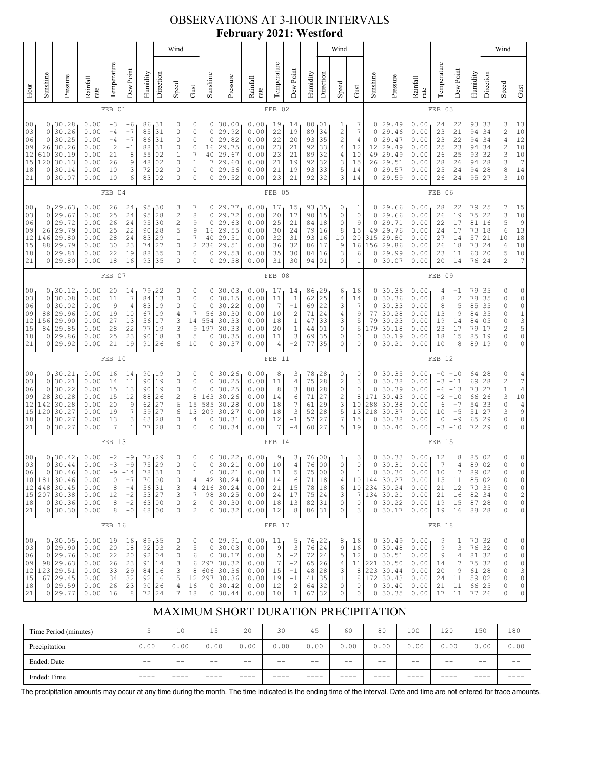## OBSERVATIONS AT 3-HOUR INTERVALS **February 2021: Westford**

|                                                                                                                                                                                                                                                                                                                                                                                                                                                                                                                                                |                                                                     |                                                                                |                                                              |                                                |                                                                    |                                              |                                                                                      | Wind                                                                            |                                                                                                                                |                                                                      |                                                                         |                                                              |                                                          |                                                                                                                    |                                              |                                                                                          | Wind                                                                      |                                                        |                                                                         |                                                                                              |                                                              |                                                           |                                                                      |                                                                     |                                                                                | Wind                                                                                                                                                                      |                                                           |
|------------------------------------------------------------------------------------------------------------------------------------------------------------------------------------------------------------------------------------------------------------------------------------------------------------------------------------------------------------------------------------------------------------------------------------------------------------------------------------------------------------------------------------------------|---------------------------------------------------------------------|--------------------------------------------------------------------------------|--------------------------------------------------------------|------------------------------------------------|--------------------------------------------------------------------|----------------------------------------------|--------------------------------------------------------------------------------------|---------------------------------------------------------------------------------|--------------------------------------------------------------------------------------------------------------------------------|----------------------------------------------------------------------|-------------------------------------------------------------------------|--------------------------------------------------------------|----------------------------------------------------------|--------------------------------------------------------------------------------------------------------------------|----------------------------------------------|------------------------------------------------------------------------------------------|---------------------------------------------------------------------------|--------------------------------------------------------|-------------------------------------------------------------------------|----------------------------------------------------------------------------------------------|--------------------------------------------------------------|-----------------------------------------------------------|----------------------------------------------------------------------|---------------------------------------------------------------------|--------------------------------------------------------------------------------|---------------------------------------------------------------------------------------------------------------------------------------------------------------------------|-----------------------------------------------------------|
| Hour                                                                                                                                                                                                                                                                                                                                                                                                                                                                                                                                           | Sunshine                                                            | Pressure                                                                       | Rainfall<br>rate                                             | Temperature                                    | Dew Point                                                          | Humidity                                     | Direction                                                                            | Speed                                                                           | Gust                                                                                                                           | Sunshine                                                             | Pressure                                                                | Rainfall<br>rate                                             | Temperature                                              | Dew Point                                                                                                          | Humidity                                     | Direction                                                                                | Speed                                                                     | Gust                                                   | Sunshine                                                                | Pressure                                                                                     | Rainfall<br>rate                                             | Temperature                                               | Dew Point                                                            | Humidity                                                            | Direction                                                                      | Speed                                                                                                                                                                     | Gust                                                      |
|                                                                                                                                                                                                                                                                                                                                                                                                                                                                                                                                                |                                                                     |                                                                                |                                                              | FEB 01                                         |                                                                    |                                              |                                                                                      |                                                                                 |                                                                                                                                |                                                                      |                                                                         |                                                              | FEB 02                                                   |                                                                                                                    |                                              |                                                                                          |                                                                           |                                                        |                                                                         |                                                                                              |                                                              | FEB 03                                                    |                                                                      |                                                                     |                                                                                |                                                                                                                                                                           |                                                           |
| 0 <sub>0</sub><br>30.28<br>0.00<br>86<br>31<br>0<br>0<br>$-3$<br>-6<br>30.26<br>31<br>03<br>0<br>0.00<br>$-4$<br>$-7$<br>85<br>0<br>0<br>30.25<br>$-7$<br>31<br>$\circ$<br>06<br>0.00<br>86<br>-4<br>30.26<br>0.00<br>$\sqrt{2}$<br>$\mathbb O$<br>09<br>26<br>$-1$<br>31<br>88<br>12<br>30.19<br>610<br>0.00<br>8<br>55<br>02<br>$\mathbf{1}$<br>21<br>15<br>120<br>30.13<br>9<br>02<br>$\mathbb O$<br>0.00<br>26<br>48<br>18<br>30.14<br>3<br>0<br>0.00<br>10<br>72<br>02<br>0<br>21<br>30.07<br>6<br>02<br>$\circ$<br>0<br>0.00<br>10<br>83 |                                                                     |                                                                                |                                                              |                                                |                                                                    |                                              |                                                                                      | 0<br>0<br>$\circ$<br>$\circ$<br>7<br>$\mathbf{1}$<br>$\mathbf 0$<br>$\mathbf 0$ | 0<br>0<br>$\circ$<br>16<br>40<br>7<br>0<br>0                                                                                   | 30.00<br>29.92<br>29.82<br>29.75<br>29.67<br>29.60<br>29.56<br>29.52 | 0.00<br>0.00<br>0.00<br>0.00<br>0.00<br>0.00<br>0.00<br>0.00            | 19<br>22<br>22<br>23<br>23<br>21<br>21<br>23                 | 14<br>19<br>20<br>21<br>21<br>19<br>19<br>21             | 80<br>89<br>93<br>92<br>89<br>92<br>93<br>92                                                                       | 01<br>34<br>35<br>33<br>32<br>32<br>33<br>32 | 1<br>2<br>$\overline{\mathbf{c}}$<br>4<br>4<br>3<br>5<br>3                               | 7<br>7<br>4<br>12<br>10<br>15<br>14<br>14                                 | 0<br>0<br>0<br>12<br>49<br>0<br>0                      | 29.49<br>29.46<br>29.47<br>29.49<br>29.49<br>26 29.51<br>29.57<br>29.59 | 0.00<br>0.00<br>0.00<br>0.00<br>0.00<br>0.00<br>0.00<br>0.00                                 | 24<br>23<br>23<br>25<br>26<br>28<br>25<br>26                 | 22<br>21<br>22<br>23<br>25<br>26<br>24<br>24              | 93<br>94<br>94  <br>94<br>93<br>94<br>94<br>95                       | 133<br>34<br>34<br>34<br>32<br>28<br>28<br>27                       | 3<br>$\overline{\mathbf{c}}$<br>$\overline{4}$<br>$\frac{2}{3}$<br>3<br>8<br>3 | 13<br>10<br>$12$<br>$1\,0$<br>$10$<br>$\overline{7}$<br>14<br>10                                                                                                          |                                                           |
|                                                                                                                                                                                                                                                                                                                                                                                                                                                                                                                                                |                                                                     |                                                                                |                                                              | FEB 04                                         |                                                                    |                                              |                                                                                      |                                                                                 |                                                                                                                                |                                                                      |                                                                         |                                                              | FEB 05                                                   |                                                                                                                    |                                              |                                                                                          |                                                                           |                                                        |                                                                         |                                                                                              |                                                              | FEB 06                                                    |                                                                      |                                                                     |                                                                                |                                                                                                                                                                           |                                                           |
| 00<br>03<br>06<br>09<br>12<br>15<br>18<br>21                                                                                                                                                                                                                                                                                                                                                                                                                                                                                                   | 0<br>0<br>$\circ$<br>26<br>146<br>88<br>0<br>0                      | 129.63<br>29.67<br>29.72<br>29.79<br>29.80<br>29.79<br>29.81<br>29.80          | 0.00<br>0.00<br>0.00<br>0.00<br>0.00<br>0.00<br>0.00<br>0.00 | 26<br>25<br>26<br>25<br>28<br>30<br>22<br>18   | 24<br>24<br>24<br>22<br>24<br>23<br>19<br>16                       | 95<br>95<br>95<br>90<br>83<br>74<br>88<br>93 | 30<br>28<br>30<br>28<br>29<br>27<br>35<br>35                                         | 3<br>$\overline{\mathbf{c}}$<br>$\sqrt{2}$<br>5<br>$\,1\,$<br>0<br>0<br>0       | 7<br>8<br>9<br>$\mathcal{G}$<br>$\sqrt{ }$<br>$\overline{c}$<br>$\circ$<br>$\circ$                                             | 0<br>$\circ$<br>$\mathbf 0$<br>16<br>40<br>236<br>0<br>0             | 29.77<br>29.72<br>29.63<br>29.55<br>29.51<br>29.51<br>29.53<br>29.58    | 0.00<br>0.00<br>0.00<br>0.00<br>0.00<br>0.00<br>0.00<br>0.00 | 17<br>20<br>25<br>30<br>32<br>36<br>35<br>31             | 15<br>17<br>21<br>24<br>31<br>32<br>30<br>30                                                                       | 93<br>90<br>84<br>79<br>93<br>86<br>84<br>94 | 35<br>15<br>18<br>16<br>16<br>17<br>16<br>01                                             | 0<br>0<br>0<br>8<br>10<br>9<br>3<br>0                                     | T<br>0<br>9<br>15<br>20<br>16<br>6<br>1                | $\circ$<br>0<br>49<br>315<br>156<br>0<br>0                              | 0, 29.66<br>29.66<br>29.71<br>29.76<br>29.80<br>29.86<br>29.99<br>30.07                      | 0.00<br>0.00<br>0.00<br>0.00<br>0.00<br>0.00<br>0.00<br>0.00 | 28<br>26<br>22<br>24<br>27<br>26<br>23<br>20              | 22<br>19<br>17<br>17<br>14<br>18<br>11<br>14                         | 79<br>75<br>81<br>73<br>57<br>73<br>60<br>76                        | 25<br>22<br>16<br>18<br>21<br>24<br>20<br>24                                   | 7<br>$\frac{3}{5}$<br>$\epsilon$<br>$10$<br>6<br>5<br>$\overline{c}$                                                                                                      | 15<br>$10$<br>$\,9$<br>13<br>$1\,8$<br>18<br>$10$<br>7    |
|                                                                                                                                                                                                                                                                                                                                                                                                                                                                                                                                                | FEB<br>07                                                           |                                                                                |                                                              |                                                |                                                                    |                                              |                                                                                      |                                                                                 |                                                                                                                                |                                                                      |                                                                         |                                                              | FEB 08                                                   |                                                                                                                    |                                              |                                                                                          |                                                                           |                                                        |                                                                         |                                                                                              |                                                              | FEB 09                                                    |                                                                      |                                                                     |                                                                                |                                                                                                                                                                           |                                                           |
| 0 <sub>0</sub><br>03<br>06<br>09<br>12<br>15<br>18<br>21                                                                                                                                                                                                                                                                                                                                                                                                                                                                                       | $\circ$<br>0<br>88<br>156<br>84<br>0<br>0                           | 0, 30.12<br>30.08<br>30.02<br>29.96<br>29.90<br>29.85<br>29.86<br>29.92        | 0.00<br>0.00<br>0.00<br>0.00<br>0.00<br>0.00<br>0.00<br>0.00 | 20<br>11<br>9<br>19<br>27<br>28<br>25<br>21    | 14<br>7<br>4<br>10<br>13<br>22<br>23<br>19                         | 79<br>84<br>83<br>67<br>56<br>77<br>90<br>91 | 22<br>13<br>19<br>19<br>17<br>19<br>18<br>26                                         | 0<br>$\mathbb O$<br>0<br>4<br>3<br>3<br>3<br>6                                  | 0<br>$\mathbb O$<br>0<br>$\overline{7}$<br>14<br>9<br>5<br>10                                                                  | 0<br>$\circ$<br>0<br>56<br>554<br>197<br>0<br>0                      | 130.03<br>30.15<br>30.22<br>30.30<br>30.33<br>30.33<br>30.35<br>30.37   | 0.00<br>0.00<br>0.00<br>0.00<br>0.00<br>0.00<br>0.00<br>0.00 | 17<br>11<br>7<br>10<br>18<br>20<br>11<br>4               | 14<br>$1\,$<br>$-1$<br>$\overline{c}$<br>1<br>$\,1\,$<br>3<br>$-2$                                                 | 86<br>62<br>69<br>71<br>47<br>44<br>69<br>77 | 29 ا<br>25<br>22<br>24<br>33<br>01<br>35<br>35                                           | 6<br>4<br>3<br>4<br>3<br>0<br>0<br>0                                      | 16<br>14<br>7<br>9<br>5<br>5<br>0<br>0                 | $\circ$<br>0<br>77<br>79<br>179<br>0<br>0                               | 0, 30.36<br>30.36<br>30.33<br>30.28<br>30.23<br>30.18<br>30.19<br>30.21                      | 0.00<br>0.00<br>0.00<br>0.00<br>0.00<br>0.00<br>0.00<br>0.00 | 4<br>8<br>8<br>13<br>19<br>23<br>18<br>10                 | -1<br>$\overline{\mathbf{c}}$<br>5<br>9<br>14<br>17<br>15<br>8       | 79<br>78<br>85<br>84<br>84<br>79<br>85<br>89                        | 35 ا<br>35<br>35<br>35<br>05<br>17<br>19<br>19                                 | 0<br>0<br>0<br>0<br>0<br>$\overline{c}$<br>0<br>$\Omega$                                                                                                                  | 0<br>$\circ$<br>0<br>$\,1\,$<br>$\frac{3}{5}$<br>0<br>0   |
|                                                                                                                                                                                                                                                                                                                                                                                                                                                                                                                                                |                                                                     |                                                                                |                                                              | FEB 10                                         |                                                                    |                                              |                                                                                      |                                                                                 |                                                                                                                                |                                                                      |                                                                         |                                                              | FEB 11                                                   |                                                                                                                    |                                              |                                                                                          |                                                                           |                                                        |                                                                         |                                                                                              |                                                              | FEB 12                                                    |                                                                      |                                                                     |                                                                                |                                                                                                                                                                           |                                                           |
| 0 <sub>0</sub><br>03<br>06<br>09<br>12<br>15<br>18<br>21                                                                                                                                                                                                                                                                                                                                                                                                                                                                                       | $\mathbf 0$<br>0<br>28<br>142<br>120<br>0<br>0                      | 0, 30.21<br>30.21<br>30.22<br>30.28<br>30.28<br>30.27<br>30.27<br>30.27        | 0.00<br>0.00<br>0.00<br>0.00<br>0.00<br>0.00<br>0.00<br>0.00 | 16<br>14<br>15<br>15<br>20<br>19<br>13<br>7    | 14<br>11<br>13<br>12<br>9<br>$\boldsymbol{7}$<br>3<br>$\mathbf{1}$ | 90<br>90<br>90<br>88<br>62<br>59<br>63<br>77 | 19<br>19<br>19<br>26<br>27<br>27<br>28<br>28                                         | 0<br>$\mathbb O$<br>$\circ$<br>$\overline{c}$<br>6<br>6<br>0<br>0               | 0<br>$\mathbb O$<br>$\mathbb O$<br>8<br>15<br>13<br>4<br>$\circ$                                                               | 0<br>0<br>$\mathbf 0$<br>163<br>585<br>209<br>0<br>$\circ$           | 30.26<br>30.25<br>30.25<br>30.26<br>30.28<br>30.27<br>30.31<br>30.34    | 0.00<br>0.00<br>0.00<br>0.00<br>0.00<br>0.00<br>0.00<br>0.00 | 8<br>11<br>8<br>14<br>18<br>18<br>12<br>7                | 3<br>$\sqrt{4}$<br>$\ensuremath{\mathsf{3}}$<br>6<br>$\boldsymbol{7}$<br>$\ensuremath{\mathsf{3}}$<br>$-1$<br>$-4$ | 78<br>75<br>80<br>71<br>61<br>52<br>57<br>60 | 128<br>28<br>28<br>27<br>29<br>28<br>27<br>27                                            | 0<br>2<br>0<br>$\overline{\mathbf{c}}$<br>3<br>5<br>$\boldsymbol{7}$<br>5 | 0<br>3<br>$\circ$<br>8<br>10<br>13<br>15<br>19         | 0 <sub>1</sub><br>0<br>0<br>171<br>288<br>218<br>0<br>0                 | 30.35<br>30.38<br>30.39<br>30.43<br>30.38<br>30.37<br>30.38<br>30.40                         | 0.00<br>0.00<br>0.00<br>0.00<br>0.00<br>0.00<br>0.00<br>0.00 | $-0$<br>$-3$<br>$-6$<br>$-2$<br>6<br>10<br>0<br>$-3$      | $-10$<br>$-11$<br>-13<br>-10<br>$-7$<br>$-5$<br>-9<br>-10            | 64, 28<br>69<br>73<br>66<br>54<br>51<br>65<br>72                    | 28<br>27<br>26<br>33<br>27<br>29<br>29                                         | 0<br>$\mathfrak{2}% _{T}=\mathfrak{2}_{T}\!\left( a,b\right) ,\ \mathfrak{2}_{T}=\mathfrak{2}_{T}\!\left( a,b\right) ,$<br>$\mathbf 1$<br>3<br>$\mathbb O$<br>3<br>0<br>0 | $\frac{4}{7}$<br>$\overline{4}$<br>10<br>4<br>9<br>0<br>0 |
|                                                                                                                                                                                                                                                                                                                                                                                                                                                                                                                                                |                                                                     |                                                                                |                                                              | FEB <sub>13</sub>                              |                                                                    |                                              |                                                                                      |                                                                                 |                                                                                                                                |                                                                      |                                                                         |                                                              | FEB 14                                                   |                                                                                                                    |                                              |                                                                                          |                                                                           |                                                        |                                                                         |                                                                                              |                                                              | FEB 15                                                    |                                                                      |                                                                     |                                                                                |                                                                                                                                                                           |                                                           |
| 00<br>03<br>06<br>10<br>12<br>15<br>18<br>21                                                                                                                                                                                                                                                                                                                                                                                                                                                                                                   | 0<br>$\mathsf{O}\xspace$<br>181<br>448<br>207<br>$\circ$<br>$\circ$ | 0, 30.42<br>30.44<br>30.46<br>30.46<br>30.45<br>30.38<br>30.36<br>30.30        | 0.00<br>0.00<br>0.00<br>0.00<br>0.00<br>0.00<br>0.00<br>0.00 | $-2$<br>$-3$<br>$-9$<br>0<br>8<br>12<br>8<br>8 | -9<br>$-9$<br>$-14$<br>$-4$<br>$-2$<br>$-2$<br>$-0$                | 72<br>75<br>78<br>70<br>56<br>53<br>63<br>68 | 29<br>29<br>$3\sqrt{1}$<br>00<br>$\begin{array}{c} 31 \\ 27 \end{array}$<br>00<br>00 | 0<br>$\mathbb O$<br>$\mathbb O$<br>0<br>3<br>3<br>$\mathbb O$<br>$\circ$        | 0<br>$\mathbb O$<br>$\mathbf 1$<br>$\overline{4}$<br>$\sqrt{4}$<br>$\overline{7}$<br>$\overline{\mathbf{c}}$<br>$\overline{2}$ | 0<br>0<br>$\circ$<br>42<br>216<br>98<br>$\circ$<br>0                 | 30.22<br>30.21<br>30.21<br>30.24<br>30.24<br>30.25<br>30.30<br>30.32    | 0.00<br>0.00<br>0.00<br>0.00<br>0.00<br>0.00<br>0.00<br>0.00 | 9<br>10<br>11<br>14<br>21<br>24<br>18<br>12              | 3<br>$\sqrt{4}$<br>5<br>6<br>15<br>17<br>13<br>8                                                                   | 76<br>76<br>75<br>71<br>78<br>75<br>82<br>86 | 00<br>0 <sub>0</sub><br>00<br>18<br>$\begin{array}{ c} 18 \\ 24 \end{array}$<br>31<br>31 | 1<br>0<br>0<br>4<br>6<br>3<br>0<br>0                                      | 3<br>0<br>$\mathbf 1$<br>10<br>10<br>7<br>$\circ$<br>3 | 0 <sub>1</sub><br>$\circ$<br>$\circ$<br>144                             | 30.33<br>30.31<br>30.30<br>30.27<br>234 30.24<br>134 30.21<br>$0 \mid 30.22$<br>0 30.17      | 0.00<br>0.00<br>0.00<br>0.00<br>0.00<br>0.00<br>0.00<br>0.00 | 12<br>$7\phantom{.0}$<br>10<br>15<br>21<br>21<br>19<br>19 | 8<br>4<br>7<br>11<br>12<br>16<br>15<br>16                            | 85,02<br>89<br>89<br>85 02<br>70 <br>$82 \mid 34$<br>87 28<br>88 28 | 02<br>02<br>35                                                                 | 0<br>0<br>0<br>0<br>0<br>0<br>0<br>0                                                                                                                                      | 0<br>0<br>0<br>0<br>0<br>$\overline{c}$<br>0<br>0         |
|                                                                                                                                                                                                                                                                                                                                                                                                                                                                                                                                                |                                                                     |                                                                                |                                                              | FEB 16                                         |                                                                    |                                              |                                                                                      |                                                                                 |                                                                                                                                |                                                                      |                                                                         |                                                              | FEB 17                                                   |                                                                                                                    |                                              |                                                                                          |                                                                           |                                                        |                                                                         |                                                                                              |                                                              | FEB 18                                                    |                                                                      |                                                                     |                                                                                |                                                                                                                                                                           |                                                           |
| 00<br>03<br>06<br>09<br>12<br>15<br>18<br>21                                                                                                                                                                                                                                                                                                                                                                                                                                                                                                   | 0<br>$\circ$<br>123<br>67                                           | 0, 30.05<br>29.90<br>29.76<br>98 29.63<br>29.51<br>29.45<br>0 29.59<br>0 29.77 | 0.00<br>0.00<br>0.00<br>0.00<br>0.00<br>0.00<br>0.00<br>0.00 | 19<br>20<br>22<br>26<br>33<br>34<br>26<br>16   | 16<br>18<br>20<br>23<br>29<br>32<br>23<br>8                        | 89<br>92<br>92<br>91<br>84<br>92<br>90<br>72 | 1 <sup>35</sup><br>03<br>04<br>14<br>16<br>16<br>26<br>24                            | 0<br>$\sqrt{2}$<br>$\mathbb O$<br>3<br>3<br>5<br>4<br>7                         | 0<br>5<br>$\epsilon$<br>6<br>8<br>12<br>16<br>18                                                                               | $\circ$<br>$\circ$<br>297<br>606<br>297<br>0<br>$\circ$              | 0, 29.91<br>30.03<br>30.17<br>30.32<br>30.36<br>30.36<br>30.42<br>30.44 | 0.00<br>0.00<br>0.00<br>0.00<br>0.00<br>0.00<br>0.00<br>0.00 | 11<br>9<br>5<br>$\boldsymbol{7}$<br>15<br>19<br>12<br>10 | $\frac{5}{3}$<br>$-2$<br>$-2$<br>$-1$<br>$-1$<br>$\overline{c}$<br>$\,1\,$                                         | 76<br>76<br>72<br>65<br>48<br>41<br>64<br>67 | $\begin{array}{c} 22 \\ 24 \end{array}$<br>24<br>26<br>28<br>35<br>32<br>32              | 8<br>9<br>5<br>$\sqrt{4}$<br>3<br>$\mathbf 1$<br>0<br>0                   | 16<br>16<br>12<br>8<br>8<br>0<br>0                     | $\circ$                                                                 | 0, 30.49<br>30.48<br>0 30.51<br>11 221 30.50<br>223 30.44<br>172 30.43<br>0130.40<br>0 30.35 | 0.00<br>0.00<br>0.00<br>0.00<br>0.00<br>0.00<br>0.00<br>0.00 | 9<br>9<br>9<br>14<br>20<br>24<br>21<br>17                 | $\frac{1}{3}$<br>$\sqrt{4}$<br>$\overline{7}$<br>9<br>11<br>11<br>11 | 70,32<br>76<br>81<br>75<br>$61$   28<br>59 02<br>66 25<br>77 26     | 32<br>32<br>32                                                                 | 0<br>0<br>0<br>0<br>0<br>0<br>0<br>0                                                                                                                                      | 0<br>$\mathbb O$<br>0<br>0<br>3<br>0<br>$\mathbb O$<br>0  |

# MAXIMUM SHORT DURATION PRECIPITATION

| Time Period (minutes) |       | 10    | 15    | 20    | 30    | 45   | 60    | 80    | 100   | 120   | 150  | 180   |
|-----------------------|-------|-------|-------|-------|-------|------|-------|-------|-------|-------|------|-------|
| Precipitation         | 0.00  | 0.00  | 0.00  | 0.00  | 0.00  | 0.00 | 0.00  | 0.00  | 0.00  | 0.00  | 0.00 | 0.00  |
| Ended: Date           | $- -$ | $- -$ | $- -$ | $- -$ | $- -$ | $ -$ | $- -$ | $- -$ | $- -$ | $- -$ | $ -$ | $- -$ |
| Ended: Time           | ____  |       | ____  |       | ____  |      | ____  |       |       | ____  |      |       |

The precipitation amounts may occur at any time during the month. The time indicated is the ending time of the interval. Date and time are not entered for trace amounts.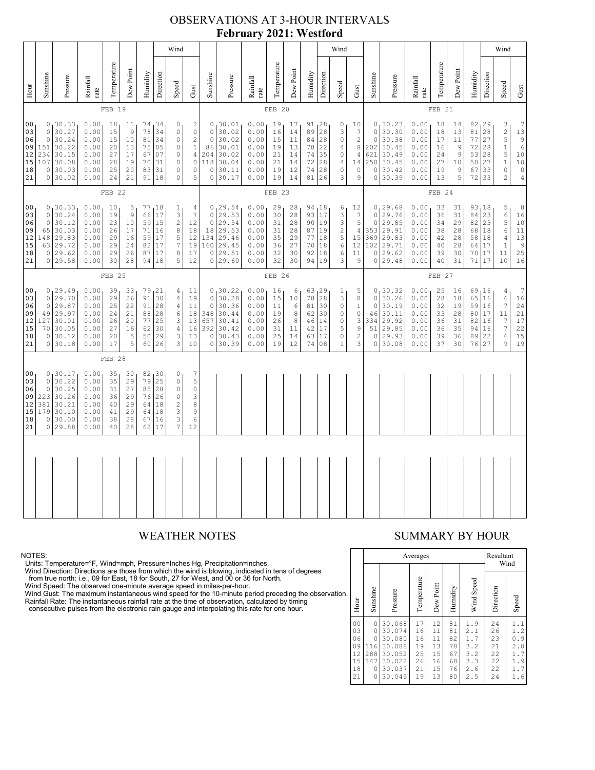### OBSERVATIONS AT 3-HOUR INTERVALS **February 2021: Westford**

|                                                          |                                                                                                                                                                                                                                                                                                                                                                                                                                                                                          |                                                                              |                                                              | Wind                                         |                                                        |                                              |                                                     |                                                                                                                 |                                                                                  |                                                                           |                                                                                         | Wind                                                         |                                              |                                                         |                                                    |                                                                                      |                                                                                         |                                                                                         |                                                                         |                                                                             | Wind                                                         |                                                       |                                                  |                                                    |                                                                                |                                                                                                            |                                                                                           |
|----------------------------------------------------------|------------------------------------------------------------------------------------------------------------------------------------------------------------------------------------------------------------------------------------------------------------------------------------------------------------------------------------------------------------------------------------------------------------------------------------------------------------------------------------------|------------------------------------------------------------------------------|--------------------------------------------------------------|----------------------------------------------|--------------------------------------------------------|----------------------------------------------|-----------------------------------------------------|-----------------------------------------------------------------------------------------------------------------|----------------------------------------------------------------------------------|---------------------------------------------------------------------------|-----------------------------------------------------------------------------------------|--------------------------------------------------------------|----------------------------------------------|---------------------------------------------------------|----------------------------------------------------|--------------------------------------------------------------------------------------|-----------------------------------------------------------------------------------------|-----------------------------------------------------------------------------------------|-------------------------------------------------------------------------|-----------------------------------------------------------------------------|--------------------------------------------------------------|-------------------------------------------------------|--------------------------------------------------|----------------------------------------------------|--------------------------------------------------------------------------------|------------------------------------------------------------------------------------------------------------|-------------------------------------------------------------------------------------------|
| Hour                                                     | Sunshine                                                                                                                                                                                                                                                                                                                                                                                                                                                                                 | Pressure                                                                     | ${\bf Rainfall}$<br>rate                                     | Temperature                                  | Dew Point                                              | Humidity                                     | Direction                                           | Speed                                                                                                           | Gust                                                                             | Sunshine                                                                  | Pressure                                                                                | Rainfall<br>rate                                             | Temperature                                  | Dew Point                                               | Humidity                                           | Direction                                                                            | Speed                                                                                   | Gust                                                                                    | Sunshine                                                                | Pressure                                                                    | Rainfall<br>$_\mathrm{rate}$                                 | Temperature                                           | Dew Point                                        | Humidity                                           | Direction                                                                      | Speed                                                                                                      | Gust                                                                                      |
|                                                          |                                                                                                                                                                                                                                                                                                                                                                                                                                                                                          |                                                                              |                                                              | FEB 19                                       |                                                        |                                              |                                                     |                                                                                                                 |                                                                                  |                                                                           |                                                                                         |                                                              | FEB 20                                       |                                                         |                                                    |                                                                                      |                                                                                         |                                                                                         |                                                                         |                                                                             |                                                              | FEB 21                                                |                                                  |                                                    |                                                                                |                                                                                                            |                                                                                           |
| 0 <sub>0</sub><br>03<br>06<br>09<br>12<br>15<br>18<br>21 | 0, 30.33<br>0.00<br>74,34<br>0<br>18<br>11<br>30.27<br>78<br>$\Omega$<br>0.00<br>15<br>9<br>34<br>$\circ$<br>30.24<br>0.00<br>15<br>10<br>81<br>34<br>$\mathbb O$<br>$\circ$<br>0.00<br>151<br>30.22<br>20<br>13<br>75<br>05<br>$\mathbb O$<br>234<br>30.15<br>0.00<br>27<br>17<br>67<br>07<br>$\circ$<br>107<br>30.08<br>0.00<br>28<br>19<br>31<br>$\mathbb O$<br>70<br>30.03<br>31<br>$\mathbb O$<br>0<br>0.00<br>25<br>20<br>83<br>0 30.02<br>0.00<br>24<br>21<br>91<br>18<br>$\circ$ |                                                                              |                                                              |                                              |                                                        |                                              |                                                     | $\sqrt{2}$<br>$\mathbb O$<br>$\sqrt{2}$<br>$\,1$<br>$\overline{4}$<br>$\mathbb O$<br>0<br>5                     | $\circ$<br>$\circ$<br>86<br>204<br>118<br>$\mathbb O$                            | 0, 30.01<br>30.02<br>30.02<br>30.01<br>30.02<br>30.04<br>30.11<br>0 30.17 | 0.00<br>0.00<br>0.00<br>0.00<br>0.00<br>0.00<br>0.00<br>0.00                            | 19<br>16<br>15<br>19<br>21<br>21<br>19<br>19                 | 17<br>14<br>11<br>13<br>14<br>14<br>12<br>14 | 89<br>84<br>78<br>74<br>72<br>74<br>81                  | $91_128$<br>28<br>28<br>22<br>35<br>28<br>28<br>26 | 0<br>3<br>$\mathbb O$<br>$\sqrt{4}$<br>$\mathbb O$<br>$\sqrt{4}$<br>$\mathbb O$<br>3 | 10<br>$\boldsymbol{7}$<br>$\sqrt{2}$<br>$\,8\,$<br>$\overline{4}$<br>14<br>$\circ$<br>9 | $\circ$<br>$\circ$<br>202<br>621<br>250<br>$\circ$<br>$\circ$                           | 0, 30.23<br>30.30<br>30.38<br>30.45<br>30.49<br>30.45<br>30.42<br>30.39 | 0.00<br>0.00<br>0.00<br>0.00<br>0.00<br>0.00<br>0.00<br>0.00                | 18<br>18<br>17<br>16<br>24<br>27<br>19<br>13                 | 14 <sub>1</sub><br>13<br>11<br>9<br>9<br>10<br>9<br>5 | 82, 29<br>81<br>77<br>72<br>53<br>50<br>67<br>72 | $\frac{1}{28}$<br>27<br>28<br>28<br>27<br>33<br>33 | 3<br>$\frac{2}{5}$<br>$\,1\,$<br>$\overline{5}$<br>$\,1\,$<br>$\mathbb O$<br>2 | 7<br>13<br>$\mathfrak{g}$<br>$\epsilon$<br>$1\,0$<br>$10$<br>$\mathbb O$<br>$\sqrt{4}$                     |                                                                                           |
|                                                          | FEB 22                                                                                                                                                                                                                                                                                                                                                                                                                                                                                   |                                                                              |                                                              |                                              |                                                        |                                              |                                                     |                                                                                                                 | FEB 23                                                                           |                                                                           |                                                                                         |                                                              |                                              |                                                         |                                                    | FEB 24                                                                               |                                                                                         |                                                                                         |                                                                         |                                                                             |                                                              |                                                       |                                                  |                                                    |                                                                                |                                                                                                            |                                                                                           |
| 00<br>03<br>06<br>09<br>12<br>15<br>18<br>21             | $\circ$<br>$\Omega$<br>65<br>148<br>63                                                                                                                                                                                                                                                                                                                                                                                                                                                   | 0, 30.33<br>30.24<br>30.12<br>30.03<br>29.83<br> 29.72<br>0 29.62<br>0 29.58 | 0.00<br>0.00<br>0.00<br>0.00<br>0.00<br>0.00<br>0.00<br>0.00 | 10<br>19<br>23<br>26<br>29<br>29<br>29<br>30 | 5<br>$\mathcal{G}$<br>10<br>17<br>16<br>24<br>26<br>28 | 77<br>66<br>59<br>71<br>59<br>82<br>87<br>94 | լ 1 8<br>17<br>15<br>16<br>17<br>17<br>17<br>18     | $\mathbf{1}$<br>$\ensuremath{\mathsf{3}}$<br>$\overline{c}$<br>$\,8\,$<br>5<br>$\boldsymbol{7}$<br>$\,8\,$<br>5 | $\overline{4}$<br>$\overline{7}$<br>12<br>$1\,8$<br>12<br>19<br>17<br>12         | $\circ$<br>18                                                             | 0, 29.54<br>29.53<br>0 29.54<br>29.53<br>134 29.46<br>160 29.45<br>0 29.51<br>0 29.60   | 0.00<br>0.00<br>0.00<br>0.00<br>0.00<br>0.00<br>0.00<br>0.00 | 29<br>30<br>31<br>31<br>35<br>36<br>32<br>32 | 28<br>28<br>28<br>28<br>29<br>27<br>30<br>30            | 93<br>90<br>87 19<br>77<br>70<br>92<br>94          | 94, 18<br>17<br>19<br>18<br>18<br>18<br>19                                           | 6<br>$\frac{3}{3}$<br>$\sqrt{2}$<br>$\mathsf S$<br>$\epsilon$<br>$\epsilon$<br>3        | 12<br>$\boldsymbol{7}$<br>$\mathbf 5$<br>$\overline{4}$<br>15<br>12<br>11<br>9          | $\circ$<br>$\circ$<br>353<br>369<br>102                                 | 0, 29.68<br>29.76<br>29.85<br>29.91<br>29.83<br>29.71<br>0 29.62<br>0 29.48 | 0.00<br>0.00<br>0.00<br>0.00<br>0.00<br>0.00<br>0.00<br>0.00 | 33<br>36<br>34<br>38<br>42<br>40<br>39<br>40          | 31<br>31<br>29<br>28<br>28<br>28<br>30<br>31     | 93 18<br>84<br>82<br>68<br>58<br>64<br>70<br>71    | 23<br>23<br>18<br>18<br>17<br>17<br>17                                         | 5<br>$\epsilon$<br>$\mathsf S$<br>6<br>4<br>$\mathbf{1}$<br>11<br>10                                       | 8<br>16<br>10<br>11<br>$\begin{array}{c} 13 \\ 9 \end{array}$<br>25<br>16                 |
|                                                          |                                                                                                                                                                                                                                                                                                                                                                                                                                                                                          |                                                                              |                                                              | FEB 25                                       |                                                        |                                              |                                                     |                                                                                                                 |                                                                                  | FEB 26                                                                    |                                                                                         |                                                              |                                              |                                                         |                                                    |                                                                                      |                                                                                         |                                                                                         | FEB 27                                                                  |                                                                             |                                                              |                                                       |                                                  |                                                    |                                                                                |                                                                                                            |                                                                                           |
| 00<br>03<br>06<br>09<br>12<br>15<br>18<br>21             | $\circ$<br>$\circ$<br>127<br>70<br>$\circ$                                                                                                                                                                                                                                                                                                                                                                                                                                               | 0, 29.49<br>29.70<br>29.87<br>49 29.97<br>30.01<br>30.05<br>30.12<br>0 30.18 | 0.00<br>0.00<br>0.00<br>0.00<br>0.00<br>0.00<br>0.00<br>0.00 | 39<br>29<br>25<br>24<br>26<br>27<br>20<br>17 | 33<br>26<br>22<br>21<br>20<br>16<br>5<br>5             | 79<br>91<br>91<br>88<br>77<br>62<br>50<br>60 | 21<br>30<br>28<br>28<br>25<br>30<br>29<br>26        | 4 <sub>1</sub><br>$\sqrt{4}$<br>$\sqrt{4}$<br>6<br>3<br>4<br>3<br>3                                             | 11<br>19<br>11<br>18<br>13<br>16<br>13<br>10                                     | $\circ$<br>$\circ$                                                        | 0, 30.22<br>0 30.28<br>30.36<br>348 30.44<br>657 30.41<br>392 30.42<br>30.43<br>0 30.39 | 0.00<br>0.00<br>0.00<br>0.00<br>0.00<br>0.00<br>0.00<br>0.00 | 16<br>15<br>11<br>19<br>26<br>31<br>25<br>19 | 6<br>10<br>6<br>$\,8\,$<br>$^{\rm 8}$<br>11<br>14<br>12 | 78<br>81<br>62<br>46<br>42<br>63<br>74             | 63, 29<br>28<br>30<br>30<br>14<br>17<br>17<br>08                                     | $\mathbf{1}$<br>3<br>$\mathbb O$<br>$\circ$<br>$\mathbb O$<br>5<br>$\circ$<br>$\,1\,$   | 5<br>$\,8\,$<br>$1\,$<br>$\mathsf{O}\xspace$<br>$\mathsf 3$<br>$\,9$<br>$\sqrt{2}$<br>3 | $\circ$<br>$\circ$<br>46<br>334<br>51<br>$\circ$<br>$\circ$             | 0, 30.32<br>30.26<br>30.19<br>30.11<br>29.92<br>29.85<br>29.93<br>30.08     | 0.00<br>0.00<br>0.00<br>0.00<br>0.00<br>0.00<br>0.00<br>0.00 | 25<br>28<br>32<br>33<br>36<br>36<br>39<br>37          | 16<br>18<br>19<br>28<br>31<br>35<br>36<br>30     | 69, 16<br>65<br>59<br>80<br>82<br>94<br>89<br>76   | 16<br>16<br>$17\,$<br>16<br>16<br>22<br>27                                     | $\overline{4}$<br>6<br>$7\phantom{.0}$<br>11<br>$7\phantom{.0}$<br>$\boldsymbol{7}$<br>6<br>$\overline{9}$ | $\overline{7}$<br>16<br>24<br>21<br>$17$<br>$\begin{array}{c} 22 \\ 15 \end{array}$<br>19 |
|                                                          |                                                                                                                                                                                                                                                                                                                                                                                                                                                                                          |                                                                              |                                                              | FEB 28                                       |                                                        |                                              |                                                     |                                                                                                                 |                                                                                  |                                                                           |                                                                                         |                                                              |                                              |                                                         |                                                    |                                                                                      |                                                                                         |                                                                                         |                                                                         |                                                                             |                                                              |                                                       |                                                  |                                                    |                                                                                |                                                                                                            |                                                                                           |
| 00<br>03<br>06<br>09<br>12<br>15<br>18<br>21             | $\circ$<br>$\mathsf{O}\xspace$<br>223<br>381<br>179<br>0<br>$\circ$                                                                                                                                                                                                                                                                                                                                                                                                                      | 0, 30.17<br>30.22<br>30.25<br>30.26<br>30.21<br>30.10<br>30.00<br>29.88      | 0.00<br>0.00<br>0.00<br>0.00<br>0.00<br>0.00<br>0.00<br>0.00 | 35<br>35<br>31<br>36<br>40<br>41<br>38<br>40 | 30<br>29<br>27<br>29<br>29<br>29<br>28<br>28           | 79<br>85<br>76<br>64<br>64<br>67<br>62       | 82 30<br>25<br>28<br>26<br>$1\,8$<br>18<br>16<br>17 | 0<br>$\circ$<br>$\mathbb O$<br>$\mathbb O$<br>$\sqrt{2}$<br>$\ensuremath{\mathsf{3}}$<br>3<br>$\overline{7}$    | $\overline{7}$<br>$\mathsf S$<br>$\mathbb O$<br>3<br>8<br>$\mathsf 9$<br>6<br>12 |                                                                           |                                                                                         |                                                              |                                              |                                                         |                                                    |                                                                                      |                                                                                         |                                                                                         |                                                                         |                                                                             |                                                              |                                                       |                                                  |                                                    |                                                                                |                                                                                                            |                                                                                           |
|                                                          |                                                                                                                                                                                                                                                                                                                                                                                                                                                                                          |                                                                              |                                                              |                                              |                                                        |                                              |                                                     |                                                                                                                 |                                                                                  |                                                                           |                                                                                         |                                                              |                                              |                                                         |                                                    |                                                                                      |                                                                                         |                                                                                         |                                                                         |                                                                             |                                                              |                                                       |                                                  |                                                    |                                                                                |                                                                                                            |                                                                                           |
|                                                          |                                                                                                                                                                                                                                                                                                                                                                                                                                                                                          |                                                                              |                                                              |                                              |                                                        |                                              |                                                     |                                                                                                                 |                                                                                  |                                                                           |                                                                                         |                                                              |                                              |                                                         |                                                    |                                                                                      |                                                                                         |                                                                                         |                                                                         |                                                                             |                                                              |                                                       |                                                  |                                                    |                                                                                |                                                                                                            |                                                                                           |

NOTES:<br>Units: Temperature=°F, Wind=mph, Pressure=Inches Hg, Precipitation=inches.<br>Units: Temperature=°F, Wind=mph, Pressure=Inches Hg, Precipitation=inches.<br>
Yind Direction: Directions are those from which the wind is blow

### WEATHER NOTES SUMMARY BY HOUR

|    |                                                          |                                                          |                                                                              | Averages                                     |                                              | Resultant<br>Wind                            |                                                      |                                              |                                                      |  |
|----|----------------------------------------------------------|----------------------------------------------------------|------------------------------------------------------------------------------|----------------------------------------------|----------------------------------------------|----------------------------------------------|------------------------------------------------------|----------------------------------------------|------------------------------------------------------|--|
| ì. | Hour                                                     | Sunshine                                                 | Pressure                                                                     | Temperature                                  | Dew Point                                    | Humidity                                     | Wind Speed                                           | Direction                                    | Speed                                                |  |
|    | 0 <sub>0</sub><br>03<br>06<br>09<br>12<br>15<br>18<br>21 | 0<br>0<br>$\Omega$<br>116<br>288<br>147<br>0<br>$\Omega$ | 30.068<br>30.074<br>30.080<br>30.088<br>30.052<br>30.022<br>30.037<br>30.045 | 17<br>16<br>16<br>19<br>25<br>26<br>21<br>19 | 12<br>11<br>11<br>13<br>15<br>16<br>15<br>13 | 81<br>81<br>82<br>78<br>67<br>68<br>76<br>80 | 1.9<br>2.1<br>1.7<br>3.2<br>3.2<br>3.3<br>2.6<br>2.5 | 24<br>26<br>23<br>21<br>22<br>22<br>22<br>24 | 1.1<br>1.2<br>0.9<br>2.0<br>1.7<br>1.9<br>1.7<br>1.6 |  |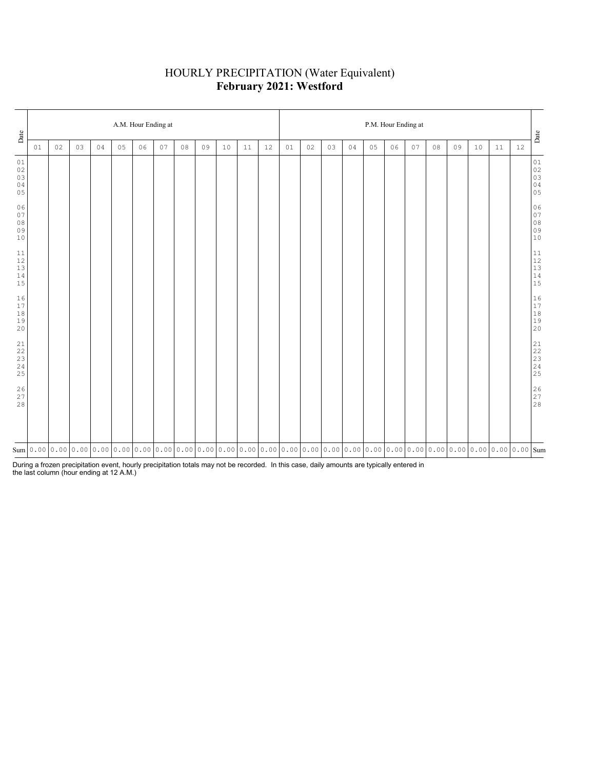# HOURLY PRECIPITATION (Water Equivalent) **February 2021: Westford**

| Date                                                               | A.M. Hour Ending at |    |    |    |    |    |    |    |                                                                                                                                                                                                                                                                                                                                                 |    |    |    |    |    |    |    |    | P.M. Hour Ending at |    |    |    |    |    |    | $_{\rm {Date}}$                                                                     |
|--------------------------------------------------------------------|---------------------|----|----|----|----|----|----|----|-------------------------------------------------------------------------------------------------------------------------------------------------------------------------------------------------------------------------------------------------------------------------------------------------------------------------------------------------|----|----|----|----|----|----|----|----|---------------------|----|----|----|----|----|----|-------------------------------------------------------------------------------------|
|                                                                    | 01                  | 02 | 03 | 04 | 05 | 06 | 07 | 08 | 09                                                                                                                                                                                                                                                                                                                                              | 10 | 11 | 12 | 01 | 02 | 03 | 04 | 05 | 06                  | 07 | 08 | 09 | 10 | 11 | 12 |                                                                                     |
| 01<br>$02\,$<br>03<br>04<br>05                                     |                     |    |    |    |    |    |    |    |                                                                                                                                                                                                                                                                                                                                                 |    |    |    |    |    |    |    |    |                     |    |    |    |    |    |    | 01<br>02<br>03<br>03<br>04<br>05                                                    |
| 06<br>07<br>$0\,8$<br>09<br>$10$                                   |                     |    |    |    |    |    |    |    |                                                                                                                                                                                                                                                                                                                                                 |    |    |    |    |    |    |    |    |                     |    |    |    |    |    |    | $0\,6$<br>$\begin{bmatrix} 0 & 7 \\ 0 & 7 \\ 0 & 8 \\ 0 & 9 \\ 1 & 0 \end{bmatrix}$ |
| $11\,$<br>$12$<br>$13\,$<br>14<br>15                               |                     |    |    |    |    |    |    |    |                                                                                                                                                                                                                                                                                                                                                 |    |    |    |    |    |    |    |    |                     |    |    |    |    |    |    | $\begin{array}{c} 11 \\ 12 \\ 13 \\ 14 \\ 15 \end{array}$                           |
| 16<br>17<br>$1\,8$<br>19<br>20                                     |                     |    |    |    |    |    |    |    |                                                                                                                                                                                                                                                                                                                                                 |    |    |    |    |    |    |    |    |                     |    |    |    |    |    |    | $\begin{array}{c} 16 \\ 17 \\ 18 \\ 19 \\ 20 \end{array}$                           |
| 21<br>$2\sqrt{2}$<br>$\begin{array}{c} 23 \\ 24 \end{array}$<br>25 |                     |    |    |    |    |    |    |    |                                                                                                                                                                                                                                                                                                                                                 |    |    |    |    |    |    |    |    |                     |    |    |    |    |    |    |                                                                                     |
| 26<br>27<br>28                                                     |                     |    |    |    |    |    |    |    |                                                                                                                                                                                                                                                                                                                                                 |    |    |    |    |    |    |    |    |                     |    |    |    |    |    |    | $\begin{array}{c} 26 \\ 27 \\ 28 \end{array}$                                       |
|                                                                    |                     |    |    |    |    |    |    |    | $\text{Sum}[\text{0.00}[\text{0.00}[\text{0.00}[\text{0.00}[\text{0.00}[\text{0.00}[\text{0.00}[\text{0.00}[\text{0.00}[\text{0.00}[\text{0.00}[\text{0.00}[\text{0.00}[\text{0.00}[\text{0.00}[\text{0.00}[\text{0.00}[\text{0.00}[\text{0.00}[\text{0.00}[\text{0.00}[\text{0.00}[\text{0.00}[\text{0.00}[\text{0.00}[\text{0.00}[\text{0.00$ |    |    |    |    |    |    |    |    |                     |    |    |    |    |    |    |                                                                                     |

During a frozen precipitation event, hourly precipitation totals may not be recorded. In this case, daily amounts are typically entered in the last column (hour ending at 12 A.M.)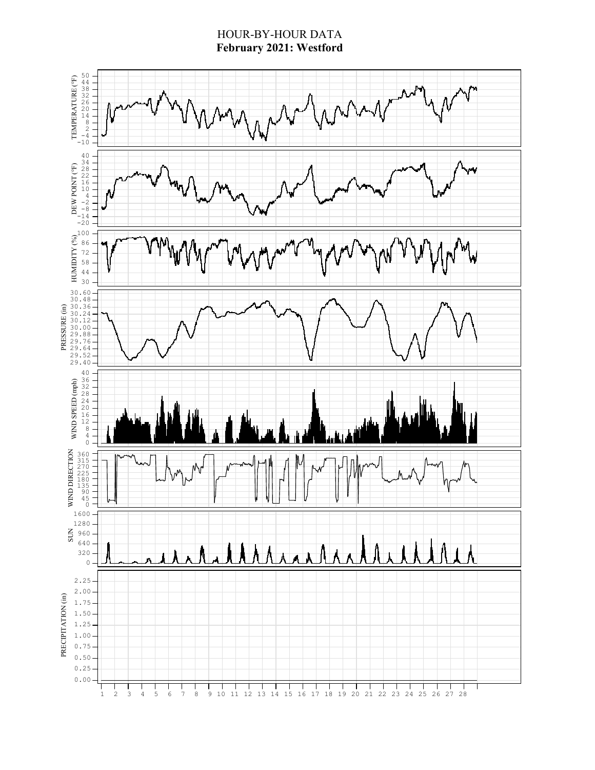### HOUR-BY-HOUR DATA **February 2021: Westford**